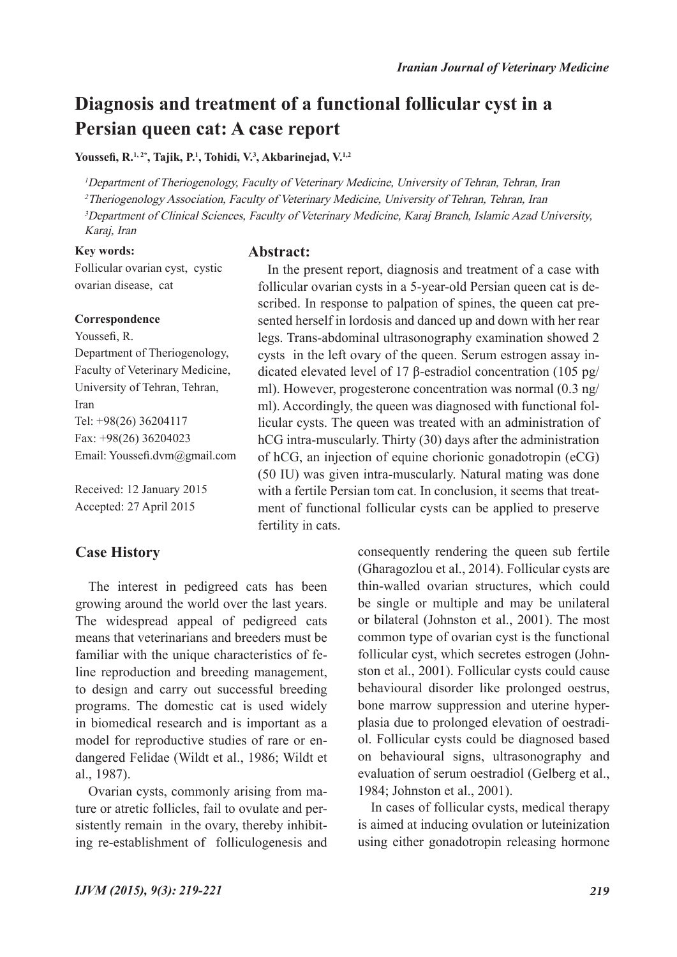# **Diagnosis and treatment of a functional follicular cyst in a Persian queen cat: A case report**

**Abstract:**

## **Youssefi, R.1, 2\*, Tajik, P.1 , Tohidi, V.3 , Akbarinejad, V.1,2**

<sup>1</sup>Department of Theriogenology, Faculty of Veterinary Medicine, University of Tehran, Tehran, Iran <sup>2</sup>Theriogenology Association, Faculty of Veterinary Medicine, University of Tehran, Tehran, Iran <sup>3</sup>Department of Clinical Sciences, Faculty of Veterinary Medicine, Karaj Branch, Islamic Azad University, Karaj, Iran

## **Key words:**

Follicular ovarian cyst, cystic ovarian disease, cat

### **Correspondence**

Youssefi, R. Department of Theriogenology, Faculty of Veterinary Medicine, University of Tehran, Tehran, Iran Tel: +98(26) 36204117 Fax: +98(26) 36204023 Email: Youssefi.dvm@gmail.com

Received: 12 January 2015 Accepted: 27 April 2015

# **Case History**

The interest in pedigreed cats has been growing around the world over the last years. The widespread appeal of pedigreed cats means that veterinarians and breeders must be familiar with the unique characteristics of feline reproduction and breeding management, to design and carry out successful breeding programs. The domestic cat is used widely in biomedical research and is important as a model for reproductive studies of rare or endangered Felidae (Wildt et al., 1986; Wildt et al., 1987).

Ovarian cysts, commonly arising from mature or atretic follicles, fail to ovulate and persistently remain in the ovary, thereby inhibiting re-establishment of folliculogenesis and

In the present report, diagnosis and treatment of a case with follicular ovarian cysts in a 5-year-old Persian queen cat is described. In response to palpation of spines, the queen cat presented herself in lordosis and danced up and down with her rear legs. Trans-abdominal ultrasonography examination showed 2 cysts in the left ovary of the queen. Serum estrogen assay indicated elevated level of 17 β-estradiol concentration (105 pg/ ml). However, progesterone concentration was normal (0.3 ng/ ml). Accordingly, the queen was diagnosed with functional follicular cysts. The queen was treated with an administration of hCG intra-muscularly. Thirty (30) days after the administration of hCG, an injection of equine chorionic gonadotropin (eCG) (50 IU) was given intra-muscularly. Natural mating was done with a fertile Persian tom cat. In conclusion, it seems that treatment of functional follicular cysts can be applied to preserve fertility in cats.

> consequently rendering the queen sub fertile (Gharagozlou et al., 2014). Follicular cysts are thin-walled ovarian structures, which could be single or multiple and may be unilateral or bilateral (Johnston et al., 2001). The most common type of ovarian cyst is the functional follicular cyst, which secretes estrogen (Johnston et al., 2001). Follicular cysts could cause behavioural disorder like prolonged oestrus, bone marrow suppression and uterine hyperplasia due to prolonged elevation of oestradiol. Follicular cysts could be diagnosed based on behavioural signs, ultrasonography and evaluation of serum oestradiol (Gelberg et al., 1984; Johnston et al., 2001).

> In cases of follicular cysts, medical therapy is aimed at inducing ovulation or luteinization using either gonadotropin releasing hormone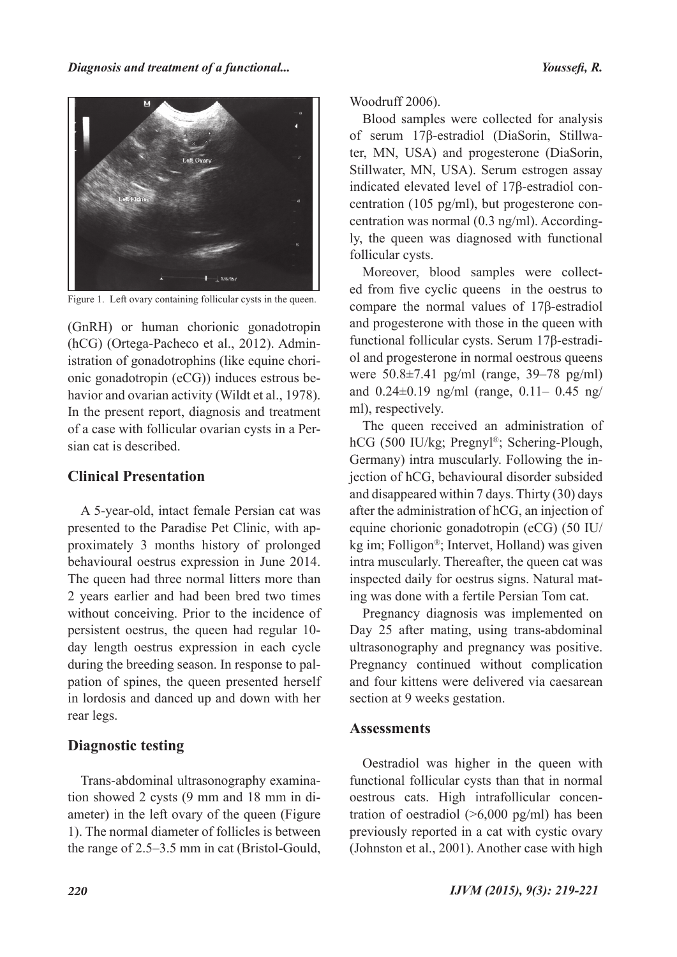

Figure 1. Left ovary containing follicular cysts in the queen.

(GnRH) or human chorionic gonadotropin (hCG) (Ortega-Pacheco et al., 2012). Administration of gonadotrophins (like equine chorionic gonadotropin (eCG)) induces estrous behavior and ovarian activity (Wildt et al., 1978). In the present report, diagnosis and treatment of a case with follicular ovarian cysts in a Persian cat is described.

## **Clinical Presentation**

A 5-year-old, intact female Persian cat was presented to the Paradise Pet Clinic, with approximately 3 months history of prolonged behavioural oestrus expression in June 2014. The queen had three normal litters more than 2 years earlier and had been bred two times without conceiving. Prior to the incidence of persistent oestrus, the queen had regular 10 day length oestrus expression in each cycle during the breeding season. In response to palpation of spines, the queen presented herself in lordosis and danced up and down with her rear legs.

# **Diagnostic testing**

Trans-abdominal ultrasonography examination showed 2 cysts (9 mm and 18 mm in diameter) in the left ovary of the queen (Figure 1). The normal diameter of follicles is between the range of 2.5–3.5 mm in cat (Bristol-Gould, Woodruff 2006).

Blood samples were collected for analysis of serum 17β-estradiol (DiaSorin, Stillwater, MN, USA) and progesterone (DiaSorin, Stillwater, MN, USA). Serum estrogen assay indicated elevated level of 17β-estradiol concentration (105 pg/ml), but progesterone concentration was normal (0.3 ng/ml). Accordingly, the queen was diagnosed with functional follicular cysts.

Moreover, blood samples were collected from five cyclic queens in the oestrus to compare the normal values of 17β-estradiol and progesterone with those in the queen with functional follicular cysts. Serum 17β-estradiol and progesterone in normal oestrous queens were 50.8±7.41 pg/ml (range, 39–78 pg/ml) and 0.24±0.19 ng/ml (range, 0.11– 0.45 ng/ ml), respectively.

The queen received an administration of hCG (500 IU/kg; Pregnyl®; Schering-Plough, Germany) intra muscularly. Following the injection of hCG, behavioural disorder subsided and disappeared within 7 days. Thirty (30) days after the administration of hCG, an injection of equine chorionic gonadotropin (eCG) (50 IU/ kg im; Folligon®; Intervet, Holland) was given intra muscularly. Thereafter, the queen cat was inspected daily for oestrus signs. Natural mating was done with a fertile Persian Tom cat.

Pregnancy diagnosis was implemented on Day 25 after mating, using trans-abdominal ultrasonography and pregnancy was positive. Pregnancy continued without complication and four kittens were delivered via caesarean section at 9 weeks gestation.

# **Assessments**

Oestradiol was higher in the queen with functional follicular cysts than that in normal oestrous cats. High intrafollicular concentration of oestradiol  $(>6,000 \text{ pg/ml})$  has been previously reported in a cat with cystic ovary (Johnston et al., 2001). Another case with high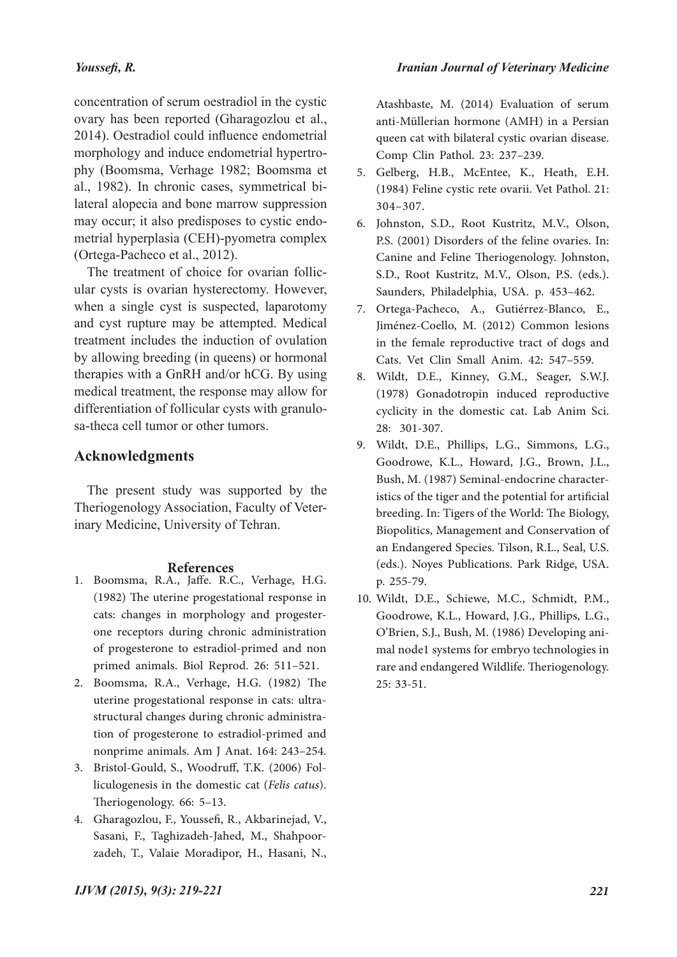#### *Youssefi, R.*

concentration of serum oestradiol in the cystic ovary has been reported (Gharagozlou et al., 2014). Oestradiol could influence endometrial morphology and induce endometrial hypertrophy (Boomsma, Verhage 1982; Boomsma et al., 1982). In chronic cases, symmetrical bilateral alopecia and bone marrow suppression may occur; it also predisposes to cystic endometrial hyperplasia (CEH)-pyometra complex (Ortega-Pacheco et al., 2012).

The treatment of choice for ovarian follicular cysts is ovarian hysterectomy. However, when a single cyst is suspected, laparotomy and cyst rupture may be attempted. Medical treatment includes the induction of ovulation by allowing breeding (in queens) or hormonal therapies with a GnRH and/or hCG. By using medical treatment, the response may allow for differentiation of follicular cysts with granulosa-theca cell tumor or other tumors.

### **Acknowledgments**

The present study was supported by the Theriogenology Association, Faculty of Veterinary Medicine, University of Tehran.

#### **References**

- 1. Boomsma, R.A., Jaffe. R.C., Verhage, H.G. (1982) The uterine progestational response in cats: changes in morphology and progesterone receptors during chronic administration of progesterone to estradiol-primed and non primed animals. Biol Reprod. 26: 511–521.
- Boomsma, R.A., Verhage, H.G. (1982) The 2. uterine progestational response in cats: ultra- structural changes during chronic administra- tion of progesterone to estradiol-primed and nonprime animals. Am J Anat. 164: 243–254.
- liculogenesis in the domestic cat (*Felis catus*). Theriogenology. 66: 5–13. 3. Bristol-Gould, S., Woodruff, T.K. (2006) Fol-
- Gharagozlou, F., Youssefi, R., Akbarinejad, V., 4. Sasani, F., Taghizadeh-Jahed, M., Shahpoorzadeh, T., Valaie Moradipor, H., Hasani, N.,

Atashbaste, M. (2014) Evaluation of serum anti-Müllerian hormone (AMH) in a Persian queen cat with bilateral cystic ovarian disease. Comp Clin Pathol. 23: 237–239.

- 5. Gelberg, H.B., McEntee, K., Heath, E.H. (1984) Feline cystic rete ovarii. Vet Pathol. 21: 304–307.
- 6. Johnston, S.D., Root Kustritz, M.V., Olson, P.S. (2001) Disorders of the feline ovaries. In: Canine and Feline Theriogenology. Johnston, S.D., Root Kustritz, M.V., Olson, P.S. (eds.). Saunders, Philadelphia, USA. p. 453–462.
- Ortega-Pacheco, A., Gutiérrez-Blanco, E., 7. Jiménez-Coello, M. (2012) Common lesions in the female reproductive tract of dogs and Cats. Vet Clin Small Anim. 42: 547–559.
- Wildt, D.E., Kinney, G.M., Seager, S.W.J. 8. (1978) Gonadotropin induced reproductive cyclicity in the domestic cat. Lab Anim Sci. 28: 301-307.
- Wildt, D.E., Phillips, L.G., Simmons, L.G., 9. Goodrowe, K.L., Howard, J.G., Brown, J.L., Bush, M. (1987) Seminal-endocrine characteristics of the tiger and the potential for artificial breeding. In: Tigers of the World: The Biology, Biopolitics, Management and Conservation of an Endangered Species. Tilson, R.L., Seal, U.S. (eds.). Noyes Publications. Park Ridge, USA. p. 255-79.
- Wildt, D.E., Schiewe, M.C., Schmidt, P.M., 10. Goodrowe, K.L., Howard, J.G., Phillips, L.G., O'Brien, S.J., Bush, M. (1986) Developing ani- mal node1 systems for embryo technologies in rare and endangered Wildlife. Theriogenology. 25: 33-51.